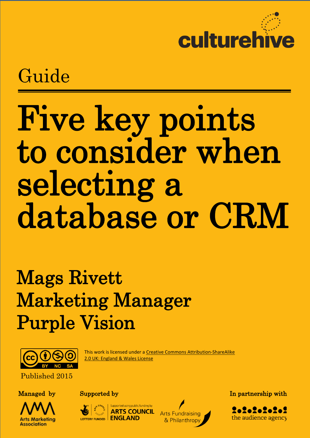

 $\frac{1}{1}$ Guide

# Five key points to consider when selecting a database or CRM

# Mags Rivett Marketing Manager Purple Vision



This work is licensed under a [Creative Commons Attribution-ShareAlike](http://creativecommons.org/licenses/by-sa/2.0/uk/deed.en_GB)  [2.0 UK: England & Wales License](http://creativecommons.org/licenses/by-sa/2.0/uk/deed.en_GB)

Published 2015





**ARTS COUI** LOTTERY FUNDED | ENGLAND



Managed by Supported by Supported by In partnership with

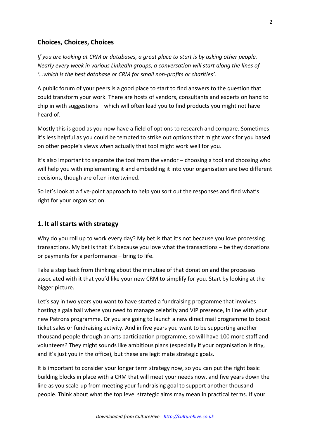# **Choices, Choices, Choices**

*If you are looking at CRM or databases, a great place to start is by asking other people. Nearly every week in various LinkedIn groups, a conversation will start along the lines of '…which is the best database or CRM for small non-profits or charities'.* 

A public forum of your peers is a good place to start to find answers to the question that could transform your work. There are hosts of vendors, consultants and experts on hand to chip in with suggestions – which will often lead you to find products you might not have heard of.

Mostly this is good as you now have a field of options to research and compare. Sometimes it's less helpful as you could be tempted to strike out options that might work for you based on other people's views when actually that tool might work well for you.

It's also important to separate the tool from the vendor – choosing a tool and choosing who will help you with implementing it and embedding it into your organisation are two different decisions, though are often intertwined.

So let's look at a five-point approach to help you sort out the responses and find what's right for your organisation.

## **1. It all starts with strategy**

Why do you roll up to work every day? My bet is that it's not because you love processing transactions. My bet is that it's because you love what the transactions – be they donations or payments for a performance – bring to life.

Take a step back from thinking about the minutiae of that donation and the processes associated with it that you'd like your new CRM to simplify for you. Start by looking at the bigger picture.

Let's say in two years you want to have started a fundraising programme that involves hosting a gala ball where you need to manage celebrity and VIP presence, in line with your new Patrons programme. Or you are going to launch a new direct mail programme to boost ticket sales or fundraising activity. And in five years you want to be supporting another thousand people through an arts participation programme, so will have 100 more staff and volunteers? They might sounds like ambitious plans (especially if your organisation is tiny, and it's just you in the office), but these are legitimate strategic goals.

It is important to consider your longer term strategy now, so you can put the right basic building blocks in place with a CRM that will meet your needs now, and five years down the line as you scale-up from meeting your fundraising goal to support another thousand people. Think about what the top level strategic aims may mean in practical terms. If your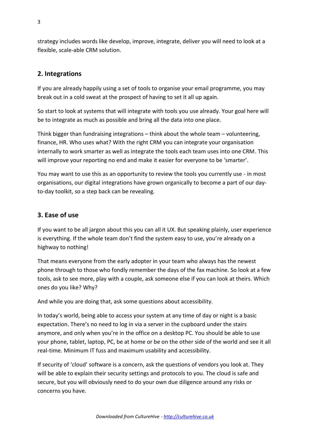strategy includes words like develop, improve, integrate, deliver you will need to look at a flexible, scale-able CRM solution.

# **2. Integrations**

If you are already happily using a set of tools to organise your email programme, you may break out in a cold sweat at the prospect of having to set it all up again.

So start to look at systems that will integrate with tools you use already. Your goal here will be to integrate as much as possible and bring all the data into one place.

Think bigger than fundraising integrations – think about the whole team – volunteering, finance, HR. Who uses what? With the right CRM you can integrate your organisation internally to work smarter as well as integrate the tools each team uses into one CRM. This will improve your reporting no end and make it easier for everyone to be 'smarter'.

You may want to use this as an opportunity to review the tools you currently use - in most organisations, our digital integrations have grown organically to become a part of our dayto-day toolkit, so a step back can be revealing.

## **3. Ease of use**

If you want to be all jargon about this you can all it UX. But speaking plainly, user experience is everything. If the whole team don't find the system easy to use, you're already on a highway to nothing!

That means everyone from the early adopter in your team who always has the newest phone through to those who fondly remember the days of the fax machine. So look at a few tools, ask to see more, play with a couple, ask someone else if you can look at theirs. Which ones do you like? Why?

And while you are doing that, ask some questions about accessibility.

In today's world, being able to access your system at any time of day or night is a basic expectation. There's no need to log in via a server in the cupboard under the stairs anymore, and only when you're in the office on a desktop PC. You should be able to use your phone, tablet, laptop, PC, be at home or be on the other side of the world and see it all real-time. Minimum IT fuss and maximum usability and accessibility.

If security of 'cloud' software is a concern, ask the questions of vendors you look at. They will be able to explain their security settings and protocols to you. The cloud is safe and secure, but you will obviously need to do your own due diligence around any risks or concerns you have.